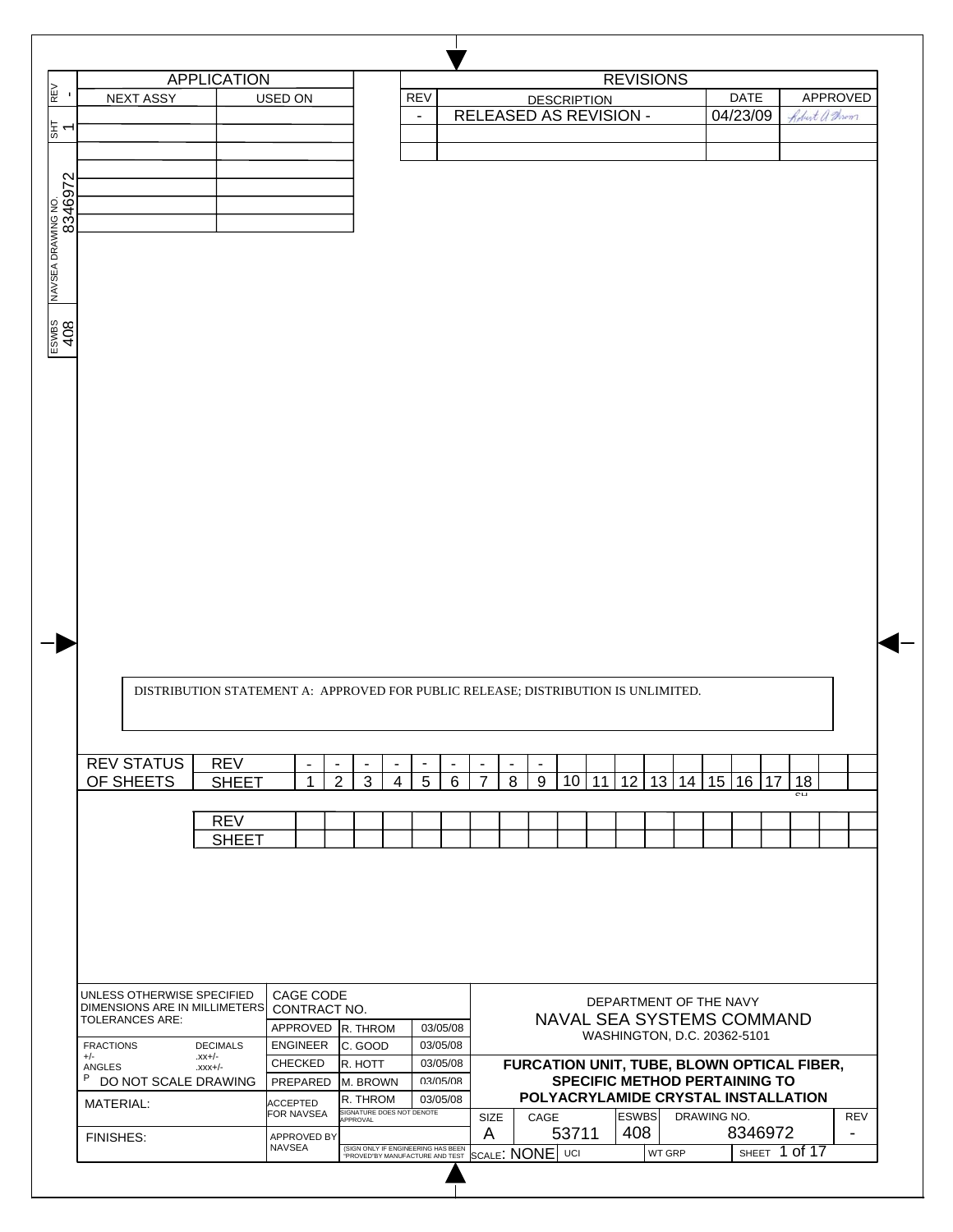|                  |                                                             | <b>APPLICATION</b>                                                                |                               |                                            |                           |                |                          |                                  |                |                |                    |                                                                             | <b>REVISIONS</b>    |             |                        |        |                                 |
|------------------|-------------------------------------------------------------|-----------------------------------------------------------------------------------|-------------------------------|--------------------------------------------|---------------------------|----------------|--------------------------|----------------------------------|----------------|----------------|--------------------|-----------------------------------------------------------------------------|---------------------|-------------|------------------------|--------|---------------------------------|
|                  | <b>NEXT ASSY</b>                                            |                                                                                   | USED ON                       |                                            |                           |                | <b>REV</b>               |                                  |                |                | <b>DESCRIPTION</b> |                                                                             |                     |             | <b>DATE</b>            |        | APPROVED                        |
|                  |                                                             |                                                                                   |                               |                                            |                           |                | $\overline{\phantom{a}}$ | RELEASED AS REVISION -           |                |                |                    |                                                                             |                     |             | 04/23/09               |        | Robert a Throm                  |
|                  |                                                             |                                                                                   |                               |                                            |                           |                |                          |                                  |                |                |                    |                                                                             |                     |             |                        |        |                                 |
|                  |                                                             |                                                                                   |                               |                                            |                           |                |                          |                                  |                |                |                    |                                                                             |                     |             |                        |        |                                 |
|                  |                                                             |                                                                                   |                               |                                            |                           |                |                          |                                  |                |                |                    |                                                                             |                     |             |                        |        |                                 |
|                  |                                                             |                                                                                   |                               |                                            |                           |                |                          |                                  |                |                |                    |                                                                             |                     |             |                        |        |                                 |
|                  |                                                             |                                                                                   |                               |                                            |                           |                |                          |                                  |                |                |                    |                                                                             |                     |             |                        |        |                                 |
|                  |                                                             |                                                                                   |                               |                                            |                           |                |                          |                                  |                |                |                    |                                                                             |                     |             |                        |        |                                 |
|                  |                                                             |                                                                                   |                               |                                            |                           |                |                          |                                  |                |                |                    |                                                                             |                     |             |                        |        |                                 |
|                  |                                                             |                                                                                   |                               |                                            |                           |                |                          |                                  |                |                |                    |                                                                             |                     |             |                        |        |                                 |
|                  |                                                             |                                                                                   |                               |                                            |                           |                |                          |                                  |                |                |                    |                                                                             |                     |             |                        |        |                                 |
|                  |                                                             |                                                                                   |                               |                                            |                           |                |                          |                                  |                |                |                    |                                                                             |                     |             |                        |        |                                 |
|                  |                                                             |                                                                                   |                               |                                            |                           |                |                          |                                  |                |                |                    |                                                                             |                     |             |                        |        |                                 |
|                  |                                                             |                                                                                   |                               |                                            |                           |                |                          |                                  |                |                |                    |                                                                             |                     |             |                        |        |                                 |
|                  |                                                             |                                                                                   |                               |                                            |                           |                |                          |                                  |                |                |                    |                                                                             |                     |             |                        |        |                                 |
|                  |                                                             |                                                                                   |                               |                                            |                           |                |                          |                                  |                |                |                    |                                                                             |                     |             |                        |        |                                 |
|                  |                                                             |                                                                                   |                               |                                            |                           |                |                          |                                  |                |                |                    |                                                                             |                     |             |                        |        |                                 |
|                  |                                                             |                                                                                   |                               |                                            |                           |                |                          |                                  |                |                |                    |                                                                             |                     |             |                        |        |                                 |
|                  |                                                             |                                                                                   |                               |                                            |                           |                |                          |                                  |                |                |                    |                                                                             |                     |             |                        |        |                                 |
|                  |                                                             |                                                                                   |                               |                                            |                           |                |                          |                                  |                |                |                    |                                                                             |                     |             |                        |        |                                 |
|                  |                                                             |                                                                                   |                               |                                            |                           |                |                          |                                  |                |                |                    |                                                                             |                     |             |                        |        |                                 |
|                  |                                                             |                                                                                   |                               |                                            |                           |                |                          |                                  |                |                |                    |                                                                             |                     |             |                        |        |                                 |
|                  |                                                             |                                                                                   |                               |                                            |                           |                |                          |                                  |                |                |                    |                                                                             |                     |             |                        |        |                                 |
|                  |                                                             |                                                                                   |                               |                                            |                           |                |                          |                                  |                |                |                    |                                                                             |                     |             |                        |        |                                 |
|                  |                                                             |                                                                                   |                               |                                            |                           |                |                          |                                  |                |                |                    |                                                                             |                     |             |                        |        |                                 |
|                  |                                                             |                                                                                   |                               |                                            |                           |                |                          |                                  |                |                |                    |                                                                             |                     |             |                        |        |                                 |
|                  |                                                             |                                                                                   |                               |                                            |                           |                |                          |                                  |                |                |                    |                                                                             |                     |             |                        |        |                                 |
|                  |                                                             |                                                                                   |                               |                                            |                           |                |                          |                                  |                |                |                    |                                                                             |                     |             |                        |        |                                 |
|                  |                                                             |                                                                                   |                               |                                            |                           |                |                          |                                  |                |                |                    |                                                                             |                     |             |                        |        |                                 |
|                  |                                                             |                                                                                   |                               |                                            |                           |                |                          |                                  |                |                |                    |                                                                             |                     |             |                        |        |                                 |
|                  |                                                             |                                                                                   |                               |                                            |                           |                |                          |                                  |                |                |                    |                                                                             |                     |             |                        |        |                                 |
|                  |                                                             |                                                                                   |                               |                                            |                           |                |                          |                                  |                |                |                    |                                                                             |                     |             |                        |        |                                 |
|                  |                                                             |                                                                                   |                               |                                            |                           |                |                          |                                  |                |                |                    |                                                                             |                     |             |                        |        |                                 |
|                  |                                                             | DISTRIBUTION STATEMENT A: APPROVED FOR PUBLIC RELEASE; DISTRIBUTION IS UNLIMITED. |                               |                                            |                           |                |                          |                                  |                |                |                    |                                                                             |                     |             |                        |        |                                 |
|                  |                                                             |                                                                                   |                               |                                            |                           |                |                          |                                  |                |                |                    |                                                                             |                     |             |                        |        |                                 |
|                  |                                                             |                                                                                   |                               |                                            |                           |                |                          |                                  |                |                |                    |                                                                             |                     |             |                        |        |                                 |
|                  |                                                             |                                                                                   |                               |                                            |                           |                |                          |                                  |                |                |                    |                                                                             |                     |             |                        |        |                                 |
|                  | <b>REV STATUS</b>                                           | <b>REV</b>                                                                        |                               | $\blacksquare$<br>$\overline{\phantom{a}}$ | $\overline{\phantom{a}}$  | $\blacksquare$ | $\overline{\phantom{a}}$ | $\blacksquare$<br>$\blacksquare$ | $\blacksquare$ | $\blacksquare$ |                    |                                                                             |                     |             |                        |        |                                 |
|                  | OF SHEETS                                                   | <b>SHEET</b>                                                                      |                               | $\overline{2}$<br>1                        | 3                         | $\overline{4}$ | 5                        | 6<br>7                           | 8              | 9              | 10                 | 12 <sub>2</sub><br>11                                                       |                     |             | 13   14   15   16   17 | 18     |                                 |
|                  |                                                             |                                                                                   |                               |                                            |                           |                |                          |                                  |                |                |                    |                                                                             |                     |             |                        | $\sim$ |                                 |
|                  |                                                             |                                                                                   |                               |                                            |                           |                |                          |                                  |                |                |                    |                                                                             |                     |             |                        |        |                                 |
|                  |                                                             | <b>REV</b>                                                                        |                               |                                            |                           |                |                          |                                  |                |                |                    |                                                                             |                     |             |                        |        |                                 |
|                  |                                                             | <b>SHEET</b>                                                                      |                               |                                            |                           |                |                          |                                  |                |                |                    |                                                                             |                     |             |                        |        |                                 |
|                  |                                                             |                                                                                   |                               |                                            |                           |                |                          |                                  |                |                |                    |                                                                             |                     |             |                        |        |                                 |
|                  |                                                             |                                                                                   |                               |                                            |                           |                |                          |                                  |                |                |                    |                                                                             |                     |             |                        |        |                                 |
|                  |                                                             |                                                                                   |                               |                                            |                           |                |                          |                                  |                |                |                    |                                                                             |                     |             |                        |        |                                 |
|                  |                                                             |                                                                                   |                               |                                            |                           |                |                          |                                  |                |                |                    |                                                                             |                     |             |                        |        |                                 |
|                  |                                                             |                                                                                   |                               |                                            |                           |                |                          |                                  |                |                |                    |                                                                             |                     |             |                        |        |                                 |
|                  |                                                             |                                                                                   |                               |                                            |                           |                |                          |                                  |                |                |                    |                                                                             |                     |             |                        |        |                                 |
|                  |                                                             |                                                                                   |                               |                                            |                           |                |                          |                                  |                |                |                    |                                                                             |                     |             |                        |        |                                 |
|                  |                                                             |                                                                                   |                               |                                            |                           |                |                          |                                  |                |                |                    |                                                                             |                     |             |                        |        |                                 |
|                  | UNLESS OTHERWISE SPECIFIED<br>DIMENSIONS ARE IN MILLIMETERS |                                                                                   | CAGE CODE<br>CONTRACT NO.     |                                            |                           |                |                          |                                  |                |                |                    | DEPARTMENT OF THE NAVY                                                      |                     |             |                        |        |                                 |
|                  | <b>TOLERANCES ARE:</b>                                      |                                                                                   | APPROVED R. THROM             |                                            |                           |                | 03/05/08                 |                                  |                |                |                    | NAVAL SEA SYSTEMS COMMAND                                                   |                     |             |                        |        |                                 |
| <b>FRACTIONS</b> |                                                             | <b>DECIMALS</b>                                                                   | <b>ENGINEER</b>               |                                            | C. GOOD                   |                | 03/05/08                 |                                  |                |                |                    | WASHINGTON, D.C. 20362-5101                                                 |                     |             |                        |        |                                 |
| $+/-$            |                                                             | $-xx$ +/-                                                                         | <b>CHECKED</b>                |                                            | R. HOTT                   |                | 03/05/08                 |                                  |                |                |                    |                                                                             |                     |             |                        |        |                                 |
| ANGLES<br>P      | DO NOT SCALE DRAWING                                        | $-1+XXX$                                                                          | PREPARED                      |                                            | M. BROWN                  |                | 03/05/08                 |                                  |                |                |                    | FURCATION UNIT, TUBE, BLOWN OPTICAL FIBER,                                  |                     |             |                        |        |                                 |
|                  |                                                             |                                                                                   |                               |                                            | R. THROM                  |                | 03/05/08                 |                                  |                |                |                    | <b>SPECIFIC METHOD PERTAINING TO</b><br>POLYACRYLAMIDE CRYSTAL INSTALLATION |                     |             |                        |        |                                 |
|                  | MATERIAL:                                                   |                                                                                   | <b>ACCEPTED</b><br>FOR NAVSEA |                                            | SIGNATURE DOES NOT DENOTE |                |                          |                                  |                |                |                    |                                                                             |                     |             |                        |        |                                 |
|                  | FINISHES:                                                   |                                                                                   | <b>APPROVED BY</b>            |                                            | APPROVAL                  |                |                          | SIZE<br>A                        |                | CAGE           | 53711              |                                                                             | <b>ESWBS</b><br>408 | DRAWING NO. | 8346972                |        | REV<br>$\overline{\phantom{a}}$ |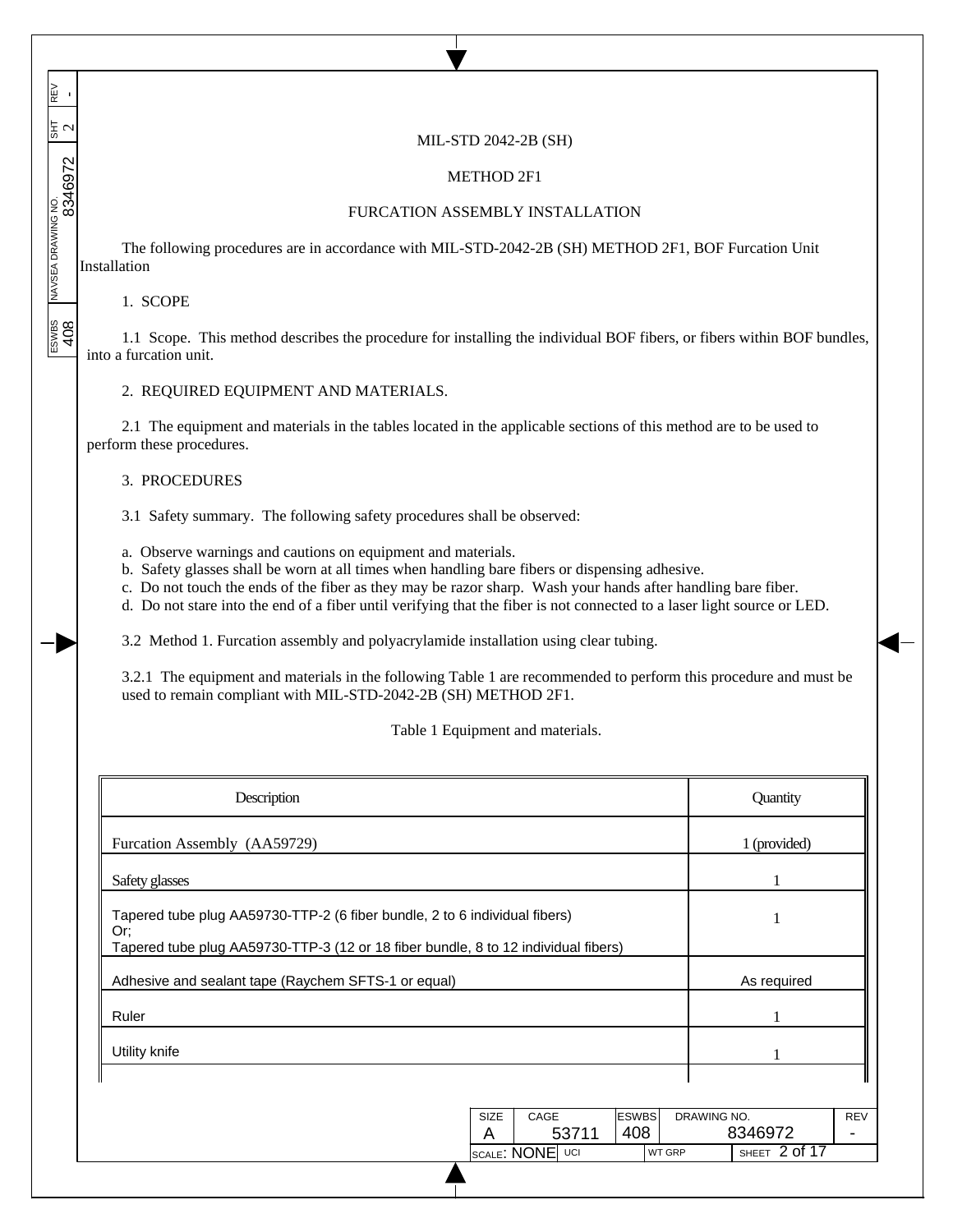MIL-STD 2042-2B (SH)

# METHOD 2F1

## FURCATION ASSEMBLY INSTALLATION

The following procedures are in accordance with MIL-STD-2042-2B (SH) METHOD 2F1, BOF Furcation Unit Installation

# 1. SCOPE

REV<br>-

 $\overline{\phantom{a}}$ 

 $\frac{1}{15}$  $\overline{\phantom{a}}$  $\overline{\phantom{a}}$ 

 $\overline{\phantom{a}}$ 

ESWBS NAVSEA DRAWING NO. SHT REV 408 8346972 2 -

 $\frac{2}{\frac{1}{2}}$ 

1.1 Scope. This method describes the procedure for installing the individual BOF fibers, or fibers within BOF bundles, into a furcation unit.

#### 2. REQUIRED EQUIPMENT AND MATERIALS.

2.1 The equipment and materials in the tables located in the applicable sections of this method are to be used to perform these procedures.

## 3. PROCEDURES

3.1 Safety summary. The following safety procedures shall be observed:

- a. Observe warnings and cautions on equipment and materials.
- b. Safety glasses shall be worn at all times when handling bare fibers or dispensing adhesive.
- c. Do not touch the ends of the fiber as they may be razor sharp. Wash your hands after handling bare fiber.
- d. Do not stare into the end of a fiber until verifying that the fiber is not connected to a laser light source or LED.

3.2 Method 1. Furcation assembly and polyacrylamide installation using clear tubing.

3.2.1 The equipment and materials in the following Table 1 are recommended to perform this procedure and must be used to remain compliant with MIL-STD-2042-2B (SH) METHOD 2F1.

Table 1 Equipment and materials.

| Description                                                                                                                                                             |                            |                     |             | Quantity      |                 |
|-------------------------------------------------------------------------------------------------------------------------------------------------------------------------|----------------------------|---------------------|-------------|---------------|-----------------|
| Furcation Assembly (AA59729)                                                                                                                                            |                            |                     |             | 1 (provided)  |                 |
| Safety glasses                                                                                                                                                          |                            | 1                   |             |               |                 |
| Tapered tube plug AA59730-TTP-2 (6 fiber bundle, 2 to 6 individual fibers)<br>Or;<br>Tapered tube plug AA59730-TTP-3 (12 or 18 fiber bundle, 8 to 12 individual fibers) |                            | J.                  |             |               |                 |
| Adhesive and sealant tape (Raychem SFTS-1 or equal)                                                                                                                     |                            | As required         |             |               |                 |
| Ruler                                                                                                                                                                   |                            |                     |             |               |                 |
| Utility knife                                                                                                                                                           |                            |                     |             | 1             |                 |
|                                                                                                                                                                         |                            |                     |             |               |                 |
|                                                                                                                                                                         | CAGE<br>SIZE<br>A<br>53711 | <b>ESWBS</b><br>408 | DRAWING NO. | 8346972       | <b>REV</b><br>- |
|                                                                                                                                                                         | SCALE: NONE UCI            | WT GRP              |             | SHEET 2 of 17 |                 |
|                                                                                                                                                                         |                            |                     |             |               |                 |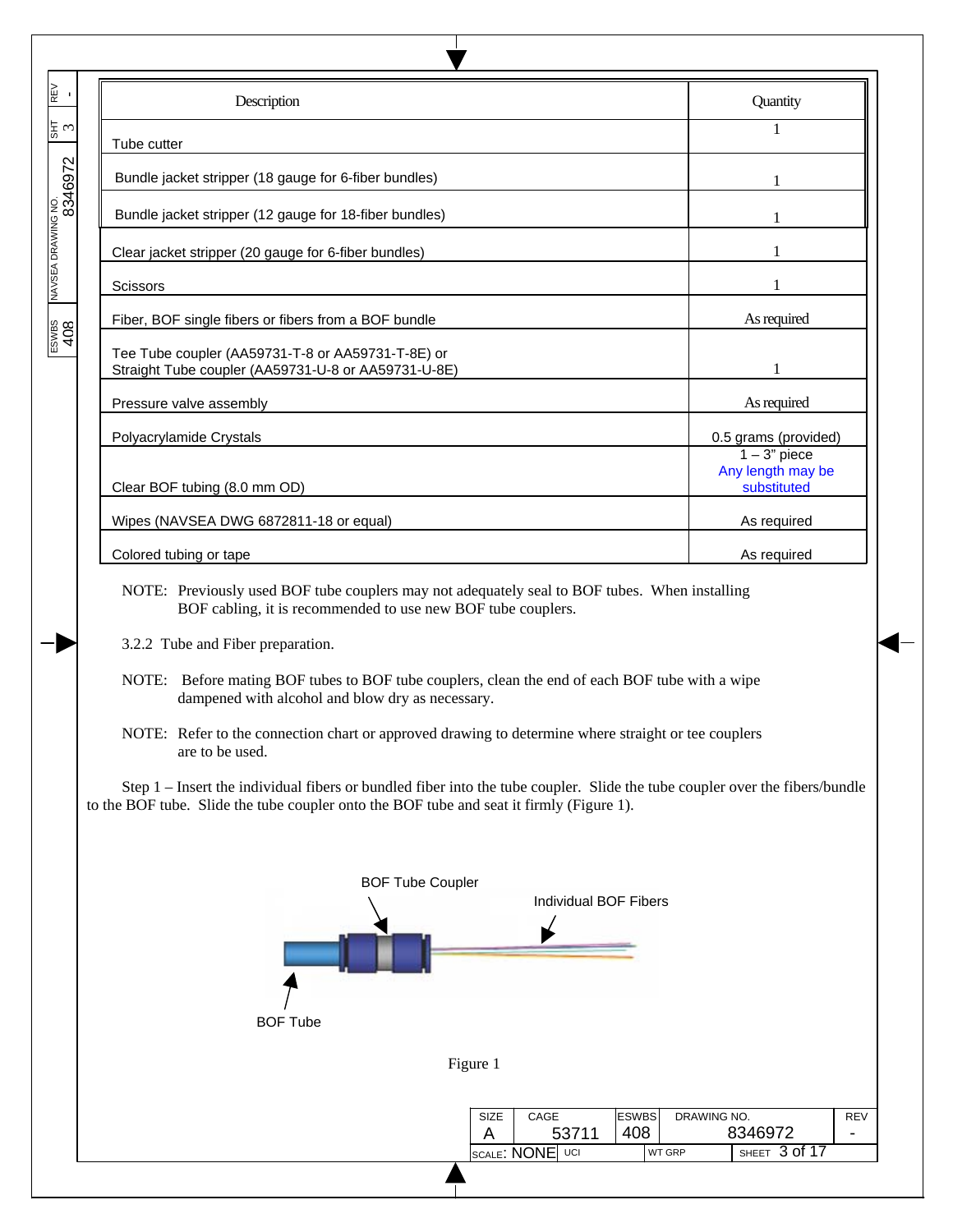|                             | Description                                                                                                                                                                                                             | Quantity                                            |
|-----------------------------|-------------------------------------------------------------------------------------------------------------------------------------------------------------------------------------------------------------------------|-----------------------------------------------------|
| 동♡                          | Tube cutter                                                                                                                                                                                                             | $\mathbf{1}$                                        |
|                             | Bundle jacket stripper (18 gauge for 6-fiber bundles)                                                                                                                                                                   |                                                     |
| NAVSEA DRAWING NO.<br> <br> | Bundle jacket stripper (12 gauge for 18-fiber bundles)                                                                                                                                                                  |                                                     |
|                             | Clear jacket stripper (20 gauge for 6-fiber bundles)                                                                                                                                                                    |                                                     |
|                             | <b>Scissors</b>                                                                                                                                                                                                         |                                                     |
|                             | Fiber, BOF single fibers or fibers from a BOF bundle                                                                                                                                                                    | As required                                         |
| $\frac{1}{2}$               | Tee Tube coupler (AA59731-T-8 or AA59731-T-8E) or<br>Straight Tube coupler (AA59731-U-8 or AA59731-U-8E)                                                                                                                |                                                     |
|                             | Pressure valve assembly                                                                                                                                                                                                 | As required                                         |
|                             | Polyacrylamide Crystals                                                                                                                                                                                                 | 0.5 grams (provided)                                |
|                             | Clear BOF tubing (8.0 mm OD)                                                                                                                                                                                            | $1 - 3$ " piece<br>Any length may be<br>substituted |
|                             | Wipes (NAVSEA DWG 6872811-18 or equal)                                                                                                                                                                                  | As required                                         |
|                             | Colored tubing or tape                                                                                                                                                                                                  | As required                                         |
|                             | NOTE: Previously used BOF tube couplers may not adequately seal to BOF tubes. When installing<br>BOF cabling, it is recommended to use new BOF tube couplers.                                                           |                                                     |
|                             | 3.2.2 Tube and Fiber preparation.                                                                                                                                                                                       |                                                     |
|                             | NOTE: Before mating BOF tubes to BOF tube couplers, clean the end of each BOF tube with a wipe<br>dampened with alcohol and blow dry as necessary.                                                                      |                                                     |
|                             | NOTE: Refer to the connection chart or approved drawing to determine where straight or tee couplers<br>are to be used.                                                                                                  |                                                     |
|                             | Step 1 – Insert the individual fibers or bundled fiber into the tube coupler. Slide the tube coupler over the fibers/bundle<br>to the BOF tube. Slide the tube coupler onto the BOF tube and seat it firmly (Figure 1). |                                                     |
|                             | <b>BOF Tube Coupler</b><br><b>Individual BOF Fibers</b><br><b>BOF Tube</b>                                                                                                                                              |                                                     |
|                             |                                                                                                                                                                                                                         |                                                     |
|                             | Figure 1                                                                                                                                                                                                                |                                                     |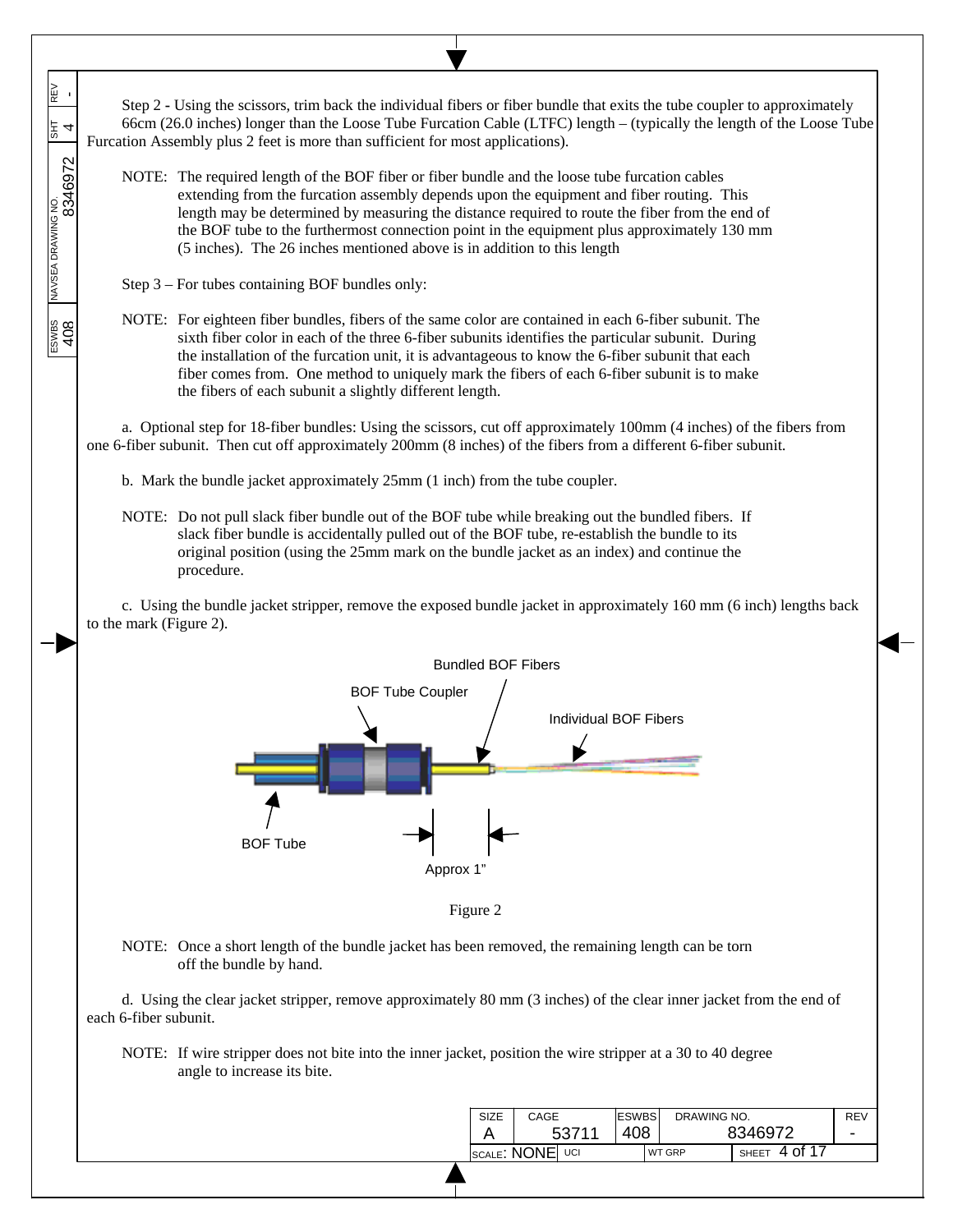ESWBS NAVSEA DRAWING NO. SHT REV REV<br>-408 | 408 | 408 | 408 | 408 | 408 | 408 | 408 | 408 | 408 | 408 | 408 | 408 | 408 | 408 | 408 | 408 | 408 | 40 Step 2 **-** Using the scissors, trim back the individual fibers or fiber bundle that exits the tube coupler to approximately 66cm (26.0 inches) longer than the Loose Tube Furcation Cable (LTFC) length – (typically the length of the Loose Tube 동 Furcation Assembly plus 2 feet is more than sufficient for most applications). NOTE: The required length of the BOF fiber or fiber bundle and the loose tube furcation cables extending from the furcation assembly depends upon the equipment and fiber routing. This length may be determined by measuring the distance required to route the fiber from the end of the BOF tube to the furthermost connection point in the equipment plus approximately 130 mm (5 inches). The 26 inches mentioned above is in addition to this length Step 3 – For tubes containing BOF bundles only: ESWBS<br>408 NOTE: For eighteen fiber bundles, fibers of the same color are contained in each 6-fiber subunit. The sixth fiber color in each of the three 6-fiber subunits identifies the particular subunit. During the installation of the furcation unit, it is advantageous to know the 6-fiber subunit that each fiber comes from. One method to uniquely mark the fibers of each 6-fiber subunit is to make the fibers of each subunit a slightly different length. a. Optional step for 18-fiber bundles: Using the scissors, cut off approximately 100mm (4 inches) of the fibers from one 6-fiber subunit. Then cut off approximately 200mm (8 inches) of the fibers from a different 6-fiber subunit. b. Mark the bundle jacket approximately 25mm (1 inch) from the tube coupler. NOTE: Do not pull slack fiber bundle out of the BOF tube while breaking out the bundled fibers. If slack fiber bundle is accidentally pulled out of the BOF tube, re-establish the bundle to its original position (using the 25mm mark on the bundle jacket as an index) and continue the procedure. c. Using the bundle jacket stripper, remove the exposed bundle jacket in approximately 160 mm (6 inch) lengths back to the mark (Figure 2). Bundled BOF Fibers BOF Tube Coupler Individual BOF Fibers BOF Tube Approx 1 Figure 2 NOTE: Once a short length of the bundle jacket has been removed, the remaining length can be torn off the bundle by hand. d. Using the clear jacket stripper, remove approximately 80 mm (3 inches) of the clear inner jacket from the end of each 6-fiber subunit. NOTE: If wire stripper does not bite into the inner jacket, position the wire stripper at a 30 to 40 degree angle to increase its bite. DRAWING NO. ESWBS SIZE CAGE REV - A 53711 408 8346972 SCALE: NONE UCI WT GRP SHEET 4 of 17

 $\overline{\phantom{a}}$  $\overline{\phantom{a}}$  $\overline{\phantom{a}}$ 

 $\overline{\phantom{a}}$ 

 $\overline{\phantom{a}}$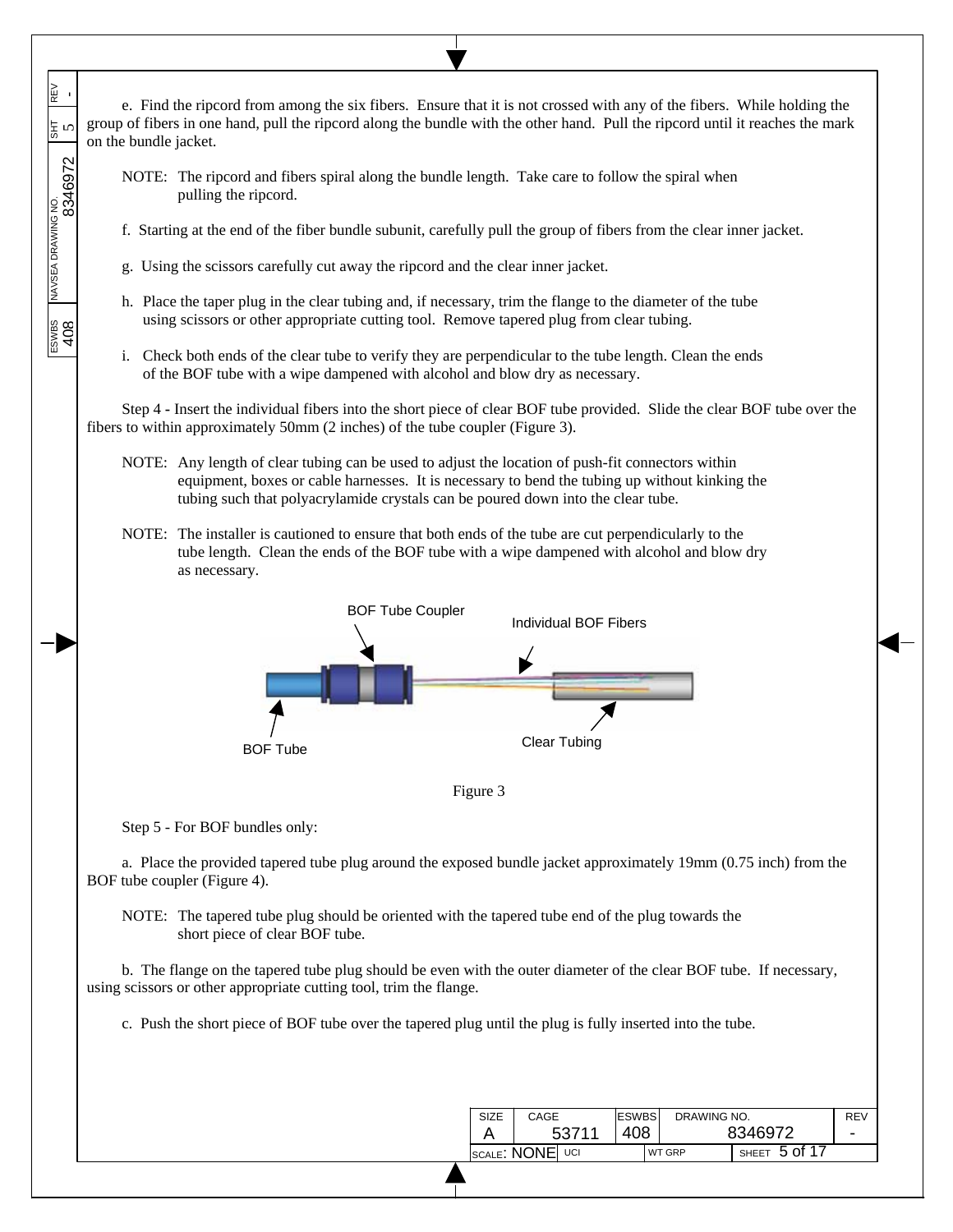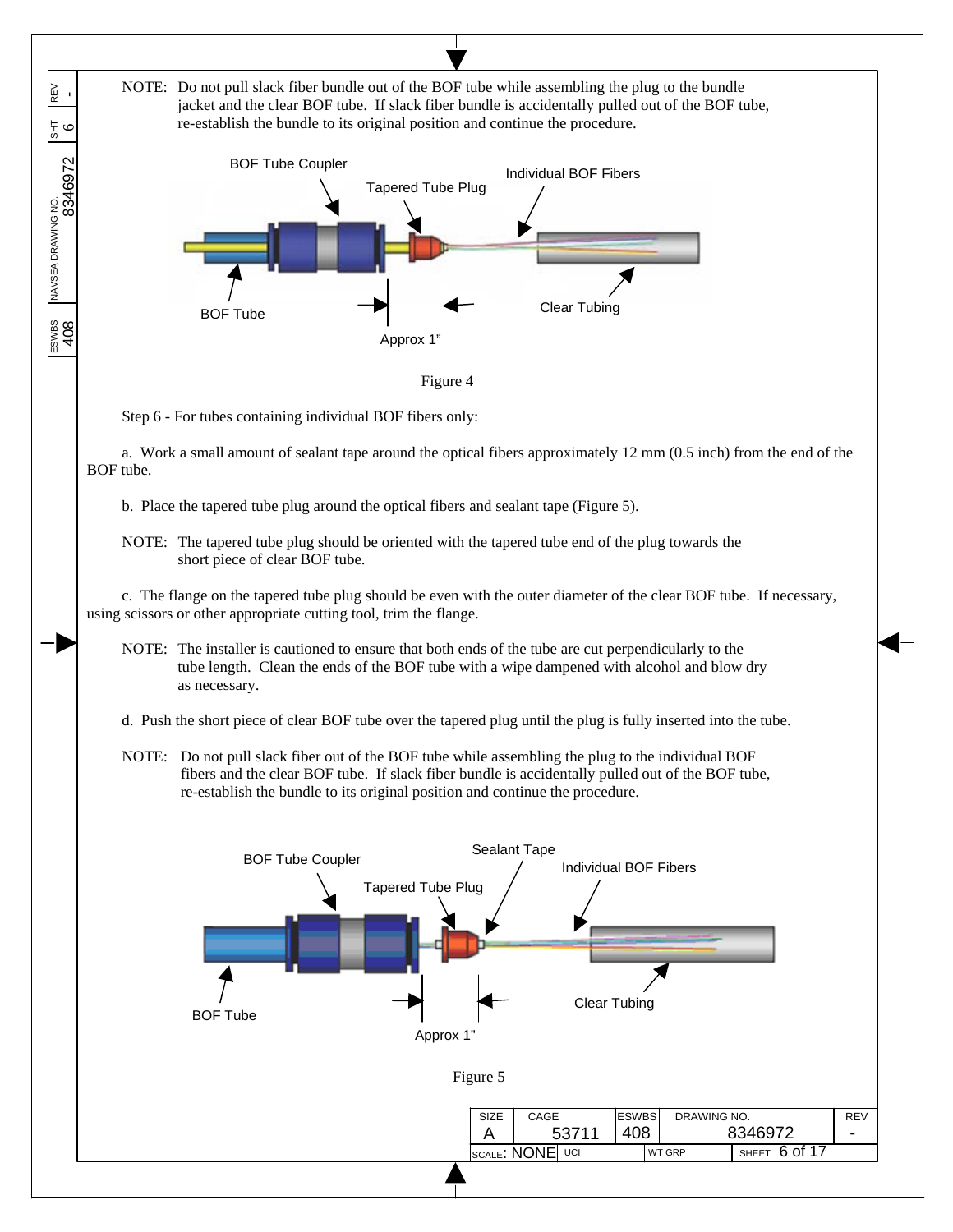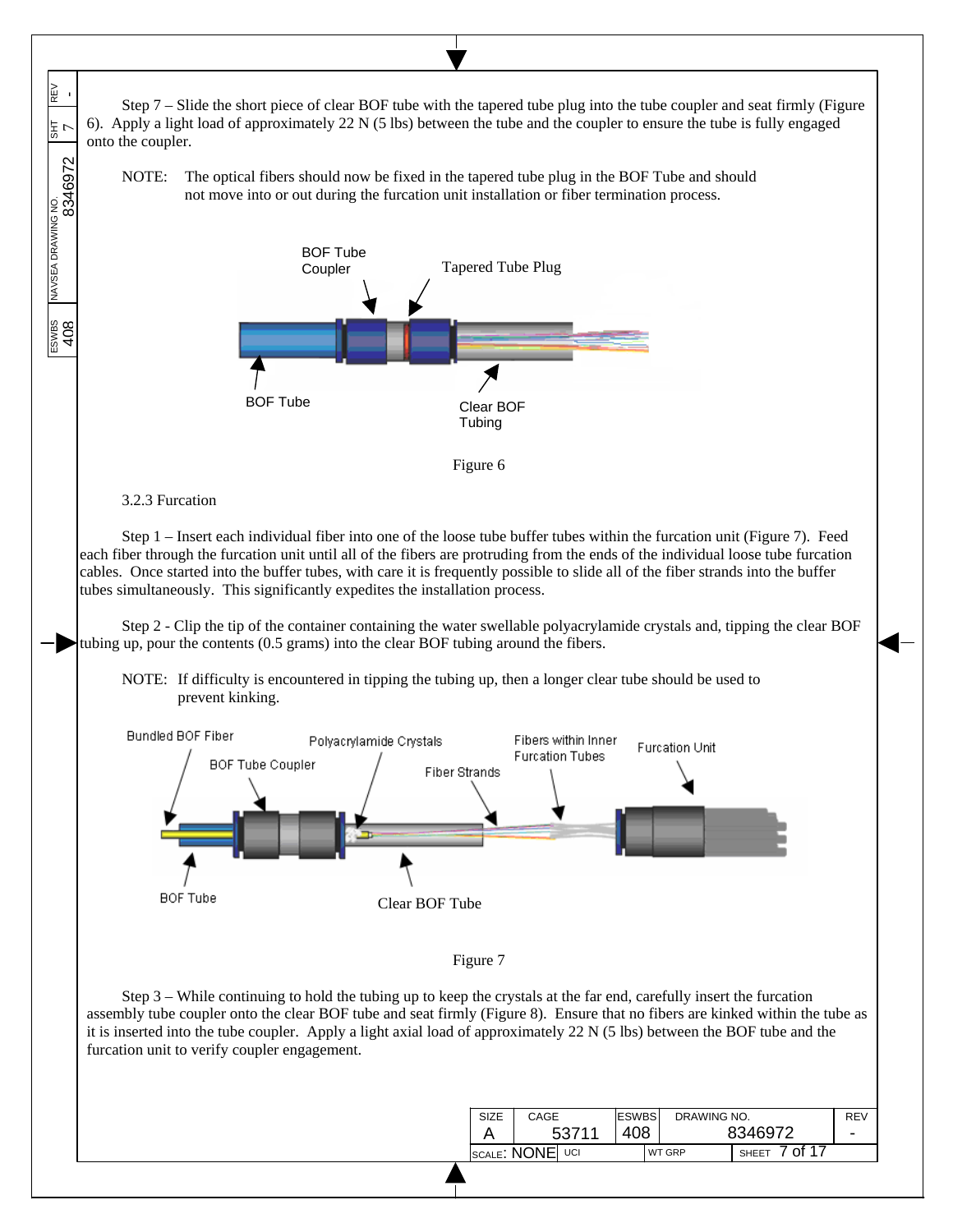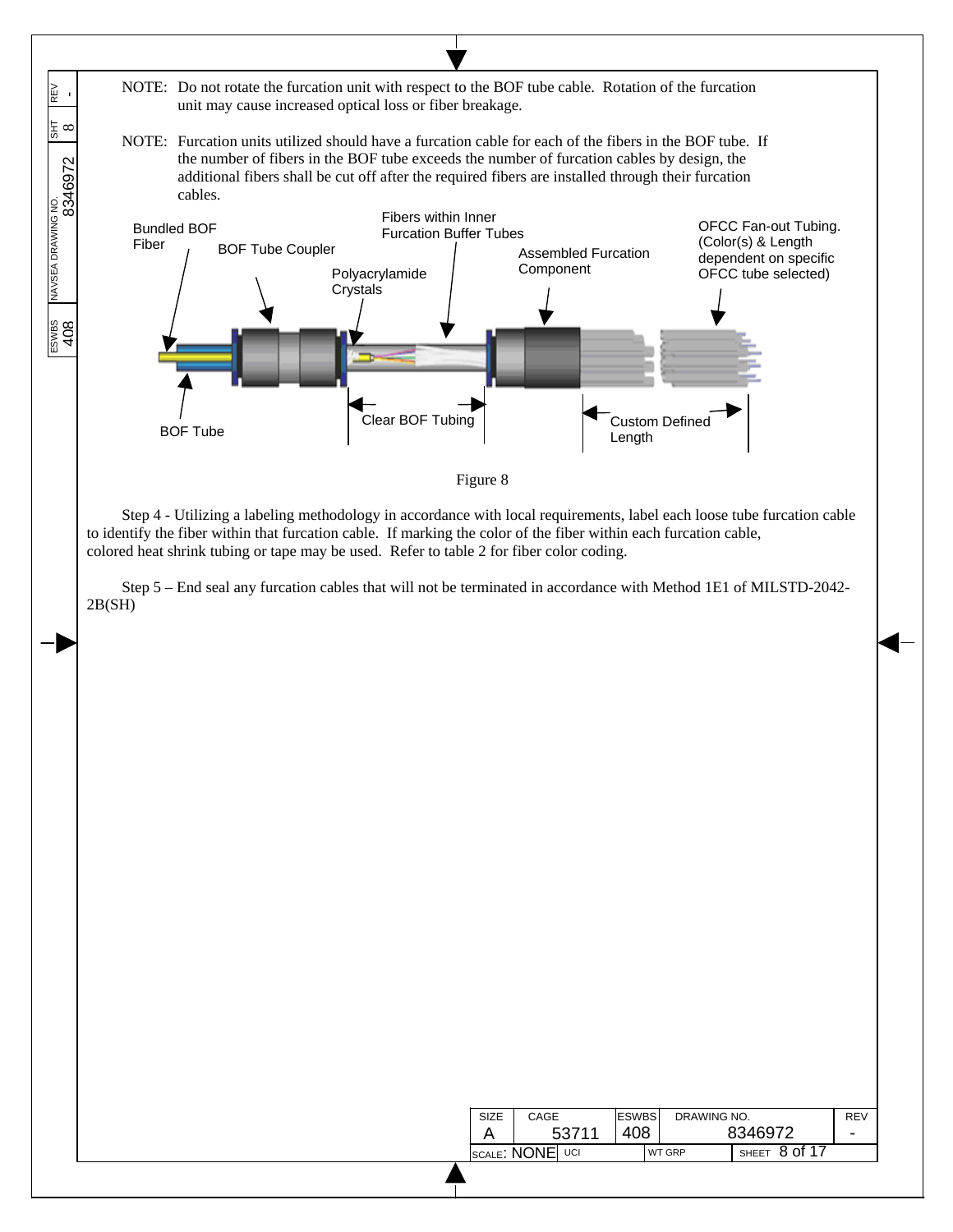

| SIZE            | CAGE |       | <b>ESWBS</b><br>DRAWING NO. |  |               |                       | REV |
|-----------------|------|-------|-----------------------------|--|---------------|-----------------------|-----|
|                 |      | 53711 | 408                         |  |               | 8346972               | -   |
| SCALE: NONE UCI |      |       |                             |  | <b>WT GRP</b> | $'$ SHEET $8$ of $17$ |     |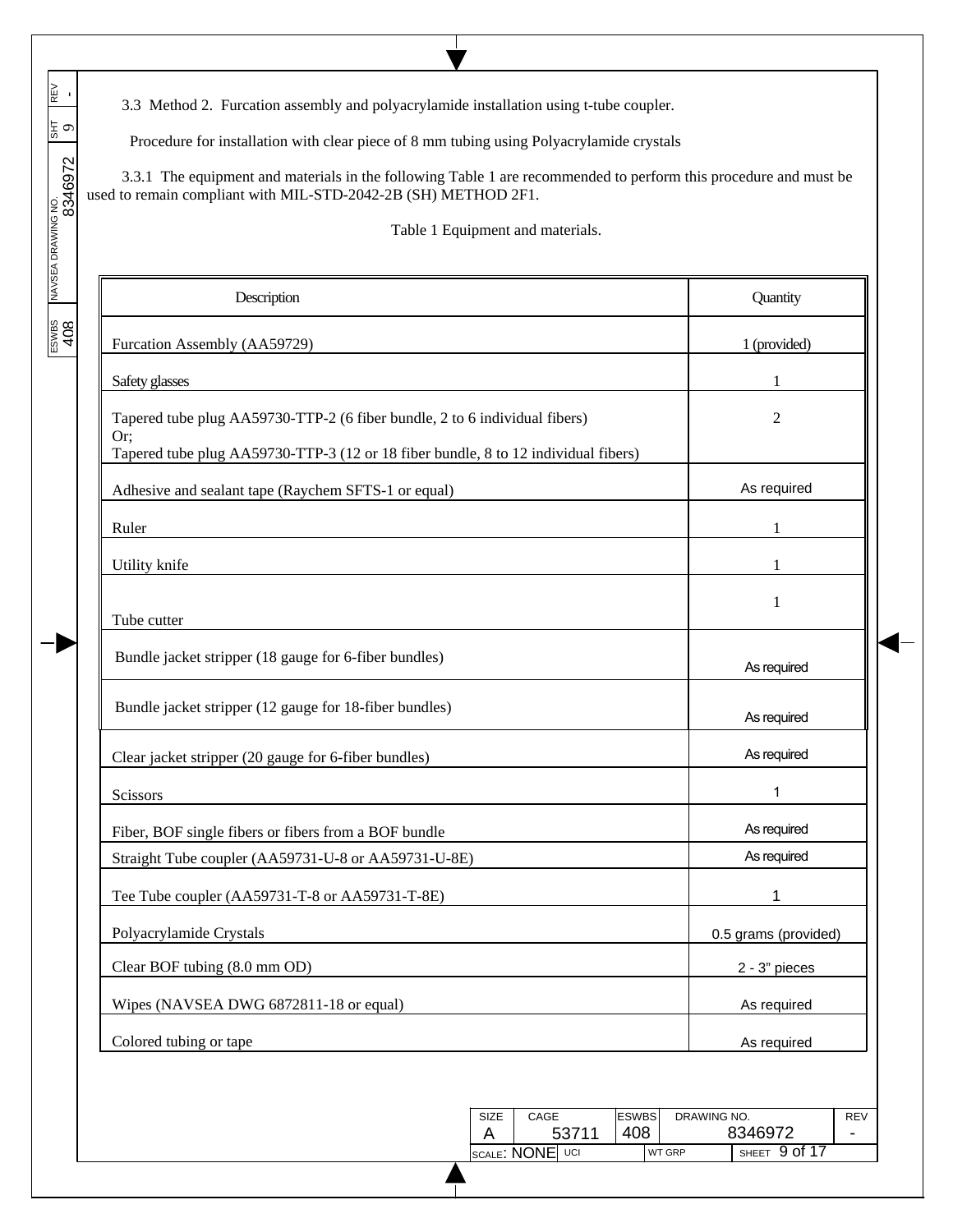3.3 Method 2. Furcation assembly and polyacrylamide installation using t-tube coupler.

 $\overline{\phantom{a}}$  $\overline{\phantom{a}}$  $\overline{\phantom{a}}$ 

 $\overline{\phantom{a}}$  $\overline{\phantom{a}}$ 

 $\overline{\phantom{a}}$ 

ESWBS NAVSEA DRAWING NO. SHT REV 408 8346972 9 -

-1

Procedure for installation with clear piece of 8 mm tubing using Polyacrylamide crystals

 3.3.1 The equipment and materials in the following Table 1 are recommended to perform this procedure and must be used to remain compliant with MIL-STD-2042-2B (SH) METHOD 2F1.

Τ

Table 1 Equipment and materials.

| Quantity                                                 |
|----------------------------------------------------------|
| 1 (provided)                                             |
|                                                          |
| $\overline{2}$                                           |
| As required                                              |
| 1                                                        |
|                                                          |
| 1                                                        |
| As required                                              |
| As required                                              |
| As required                                              |
| 1                                                        |
| As required                                              |
| As required                                              |
|                                                          |
| 0.5 grams (provided)                                     |
| 2 - 3" pieces                                            |
| As required                                              |
| As required                                              |
|                                                          |
| DRAWING NO.<br>REV<br>8346972<br>SHEET 9 of 17<br>WT GRP |
|                                                          |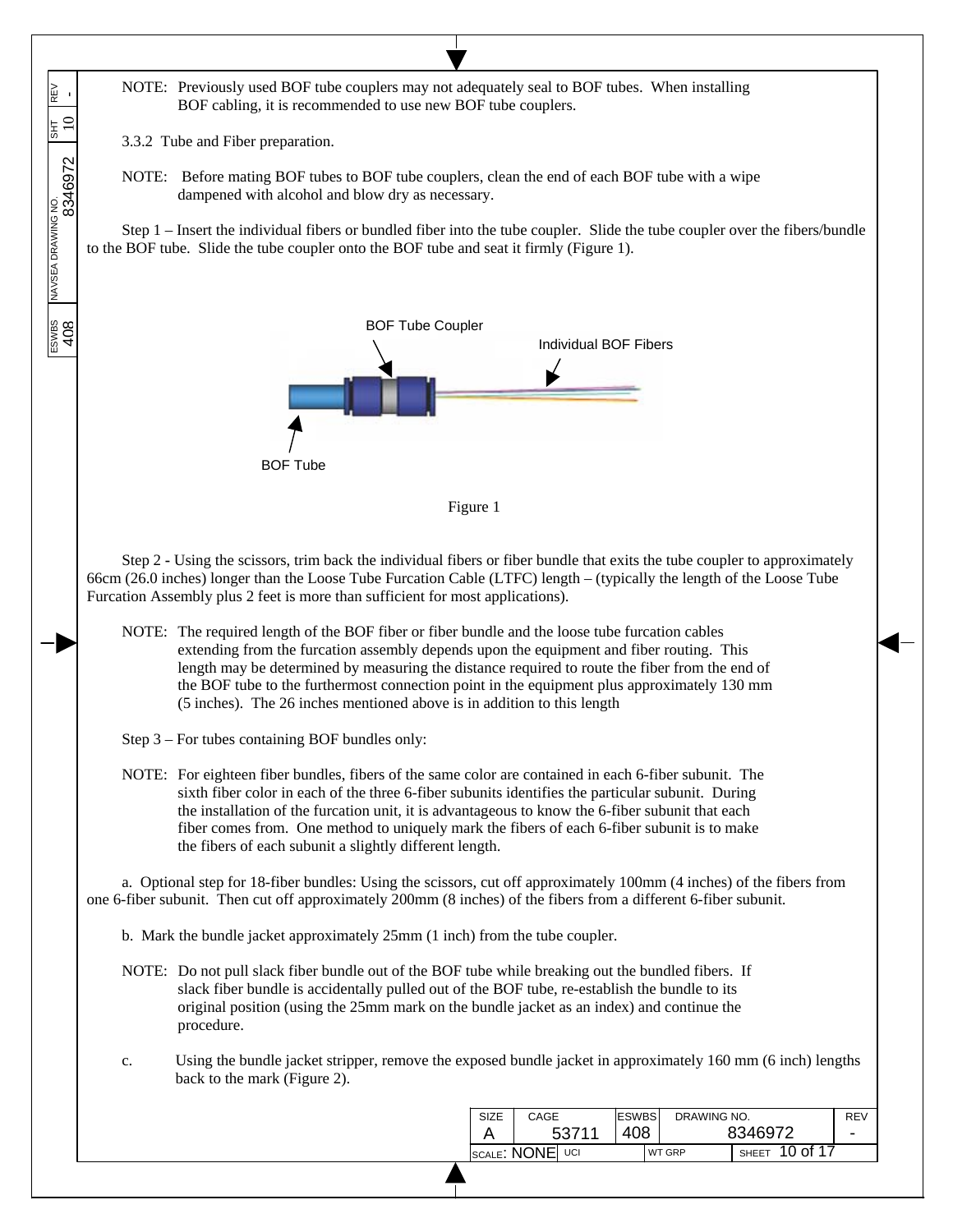$\overline{\phantom{a}}$ NOTE: Previously used BOF tube couplers may not adequately seal to BOF tubes. When installing ESWBS NAVSEA DRAWING NO. SHT REV REV<br> 408 8346972 10 -  $\overline{\phantom{a}}$ BOF cabling, it is recommended to use new BOF tube couplers.  $\overline{\phantom{a}}$  $\frac{1}{2}$  3.3.2 Tube and Fiber preparation.  $\overline{\phantom{a}}$  $\overline{\phantom{a}}$ NOTE: Before mating BOF tubes to BOF tube couplers, clean the end of each BOF tube with a wipe dampened with alcohol and blow dry as necessary.  $\overline{\phantom{a}}$ Step 1 – Insert the individual fibers or bundled fiber into the tube coupler. Slide the tube coupler over the fibers/bundle to the BOF tube. Slide the tube coupler onto the BOF tube and seat it firmly (Figure 1). ESWBS<br>408 BOF Tube Coupler Individual BOF Fibers BOF Tube Figure 1 Step 2 **-** Using the scissors, trim back the individual fibers or fiber bundle that exits the tube coupler to approximately 66cm (26.0 inches) longer than the Loose Tube Furcation Cable (LTFC) length – (typically the length of the Loose Tube Furcation Assembly plus 2 feet is more than sufficient for most applications). NOTE: The required length of the BOF fiber or fiber bundle and the loose tube furcation cables extending from the furcation assembly depends upon the equipment and fiber routing. This length may be determined by measuring the distance required to route the fiber from the end of the BOF tube to the furthermost connection point in the equipment plus approximately 130 mm (5 inches). The 26 inches mentioned above is in addition to this length Step 3 – For tubes containing BOF bundles only: NOTE: For eighteen fiber bundles, fibers of the same color are contained in each 6-fiber subunit. The sixth fiber color in each of the three 6-fiber subunits identifies the particular subunit. During the installation of the furcation unit, it is advantageous to know the 6-fiber subunit that each fiber comes from. One method to uniquely mark the fibers of each 6-fiber subunit is to make the fibers of each subunit a slightly different length. a. Optional step for 18-fiber bundles: Using the scissors, cut off approximately 100mm (4 inches) of the fibers from one 6-fiber subunit. Then cut off approximately 200mm (8 inches) of the fibers from a different 6-fiber subunit. b. Mark the bundle jacket approximately 25mm (1 inch) from the tube coupler. NOTE: Do not pull slack fiber bundle out of the BOF tube while breaking out the bundled fibers. If slack fiber bundle is accidentally pulled out of the BOF tube, re-establish the bundle to its original position (using the 25mm mark on the bundle jacket as an index) and continue the procedure. c. Using the bundle jacket stripper, remove the exposed bundle jacket in approximately 160 mm (6 inch) lengths back to the mark (Figure 2). ESWBS DRAWING NO. SIZE CAGE REV 408 - A 53711 8346972 SCALE: NONE UCI WT GRP SHEET 10 of 17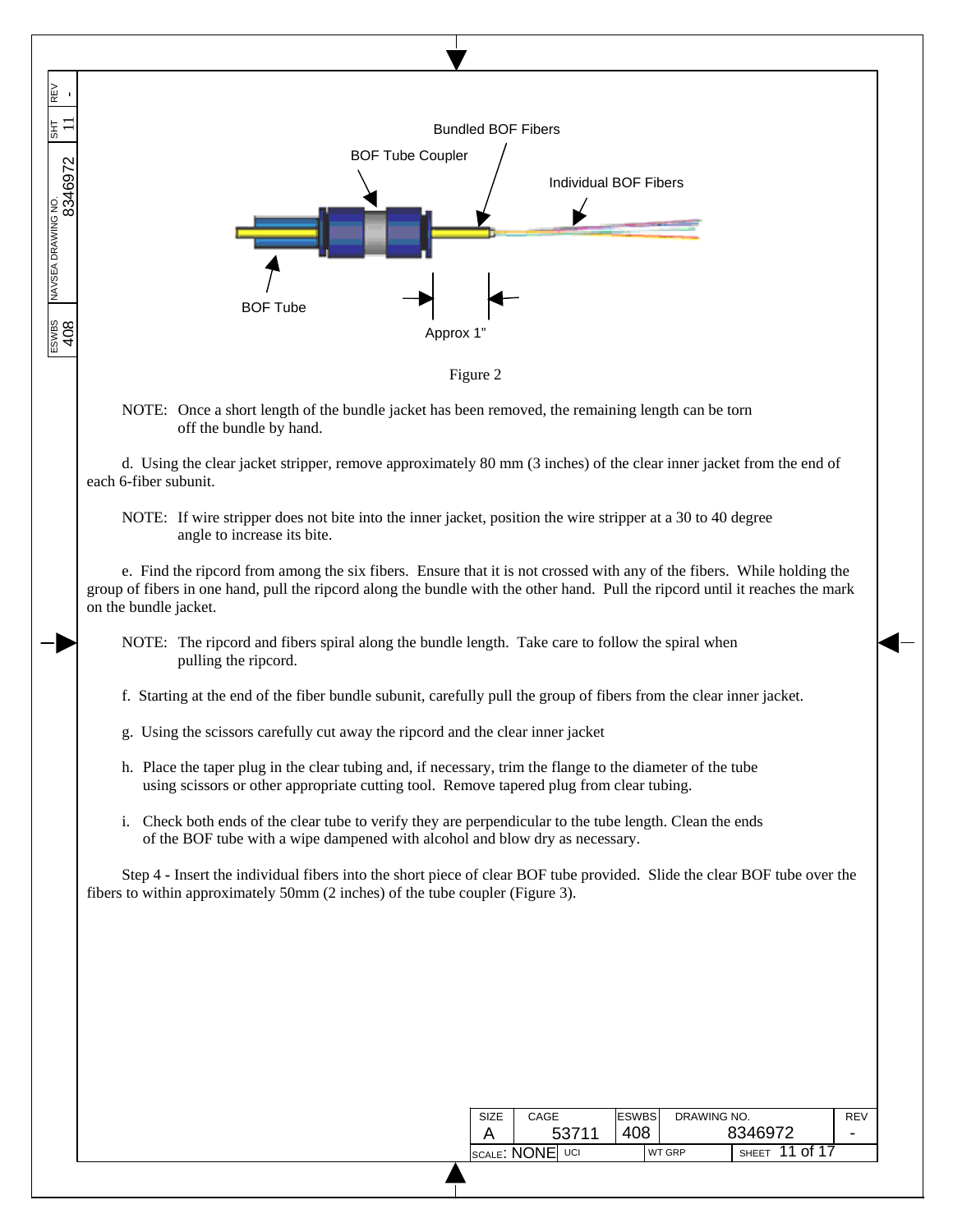REV<br>-408 8346972 11 - Bundled BOF Fibers BOF Tube Coupler Individual BOF Fibers BOF Tube ESWBS<br>408 Approx 1 Figure 2 NOTE: Once a short length of the bundle jacket has been removed, the remaining length can be torn off the bundle by hand. d. Using the clear jacket stripper, remove approximately 80 mm (3 inches) of the clear inner jacket from the end of each 6-fiber subunit. NOTE: If wire stripper does not bite into the inner jacket, position the wire stripper at a 30 to 40 degree angle to increase its bite. e. Find the ripcord from among the six fibers. Ensure that it is not crossed with any of the fibers. While holding the group of fibers in one hand, pull the ripcord along the bundle with the other hand. Pull the ripcord until it reaches the mark on the bundle jacket. NOTE: The ripcord and fibers spiral along the bundle length. Take care to follow the spiral when pulling the ripcord. f. Starting at the end of the fiber bundle subunit, carefully pull the group of fibers from the clear inner jacket. g. Using the scissors carefully cut away the ripcord and the clear inner jacket h. Place the taper plug in the clear tubing and, if necessary, trim the flange to the diameter of the tube using scissors or other appropriate cutting tool. Remove tapered plug from clear tubing. i. Check both ends of the clear tube to verify they are perpendicular to the tube length. Clean the ends of the BOF tube with a wipe dampened with alcohol and blow dry as necessary. Step 4 **-** Insert the individual fibers into the short piece of clear BOF tube provided. Slide the clear BOF tube over the fibers to within approximately 50mm (2 inches) of the tube coupler (Figure 3).

 $\overline{\phantom{a}}$  $\overline{\phantom{a}}$  $\overline{\phantom{a}}$ 

 $\overline{\phantom{a}}$  $\overline{\phantom{a}}$ 

 $\overline{\phantom{a}}$ ESWBS NAVSEA DRAWING NO. SHT REV

| <b>SIZE</b> | CAGE            | <b>ESWBS</b> | DRAWING NO.   |                              | REV |
|-------------|-----------------|--------------|---------------|------------------------------|-----|
|             | 53711           | 408          |               | 8346972                      | -   |
|             | SCALE: NONE UCI |              | <b>WT GRP</b> | $\frac{1}{1}$ SHEET 11 of 17 |     |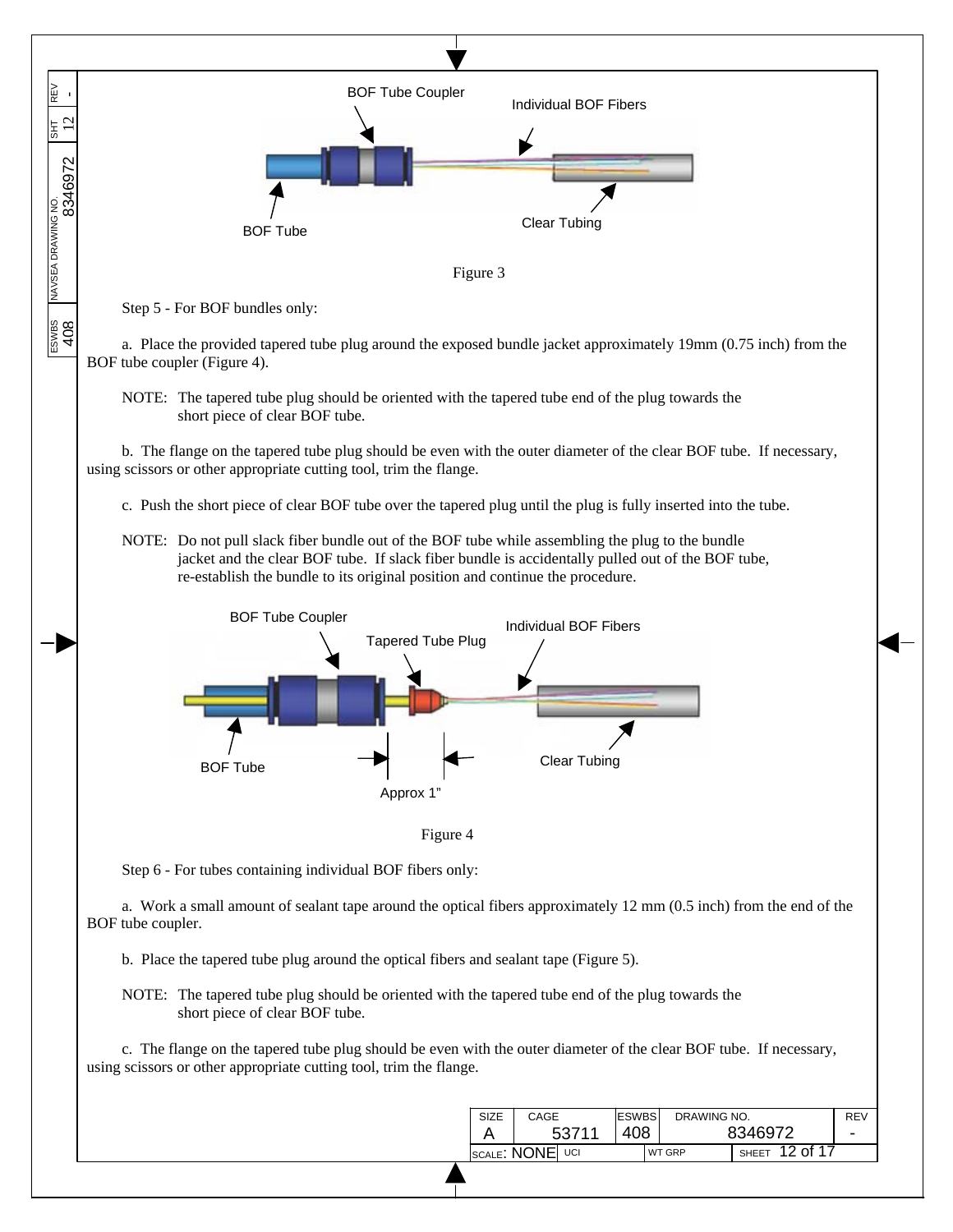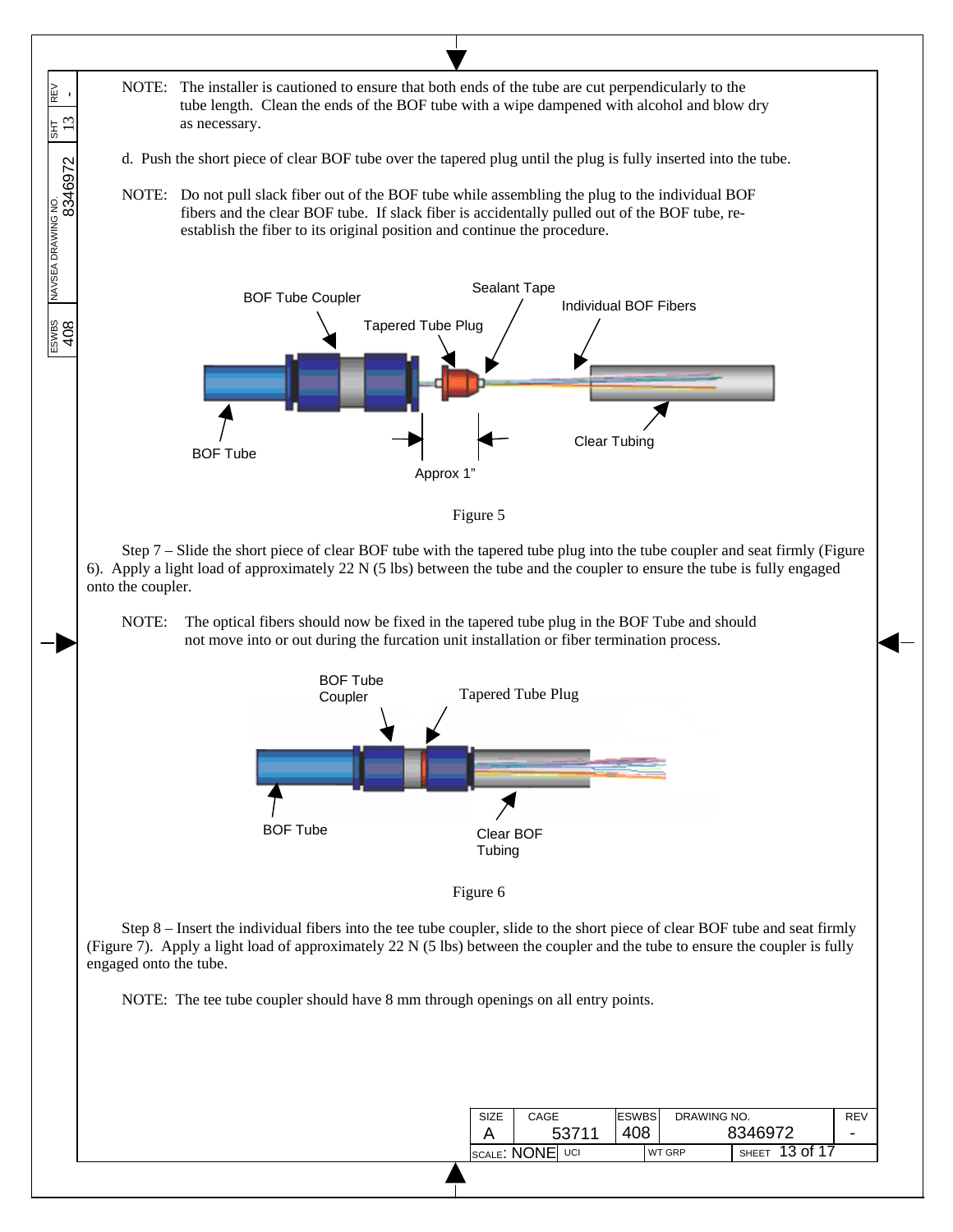NOTE: The installer is cautioned to ensure that both ends of the tube are cut perpendicularly to the ESWBS NAVSEA DRAWING NO.  $\begin{array}{|l|} \hline \text{ESWBS} & \text{DRAWING NO} \ \hline \text{S346972} & \text{SHT} \ \hline \end{array}$  REV REV<br>tube length. Clean the ends of the BOF tube with a wipe dampened with alcohol and blow dry  $13$ as necessary. . Push the short piece of clear BOF tube over the tapered plug until the plug is fully inserted into the tube. d NOTE: Do not pull slack fiber out of the BOF tube while assembling the plug to the individual BOF fibers and the clear BOF tube. If slack fiber is accidentally pulled out of the BOF tube, reestablish the fiber to its original position and continue the procedure. Individual BOF Tube Coupler Sealant Tape<br>  $\begin{array}{ccc} \sim & \sim & \sim & \sim & \sim \end{array}$  Individual BOF Fibers ESWBS<br>408 Tapered Tube Plug Clear Tubing BOF Tube Approx 1" Fig ure 5 Step 7 – Slide the short piece of clear BOF tube with the tapered tube plug into the tube coupler and seat firmly (Figure 6). A pply a light load of approximately 22 N (5 lbs) between the tube and the coupler to ensure the tube is fully engaged onto the coupler. NOTE: The optical fibers should now be fixed in the tapered tube plug in the BOF Tube and should not move into or out during the furcation unit installation or fiber termination process. BOF Tube Coupler Tapered Tube Plug BOF Tube Clear BOF **Tubing** Fig ure 6 Step 8 – Insert the individual fibers into the tee tube coupler, slide to the short piece of clear BOF tube and seat firmly (Figure 7). Apply a light load of approximately  $22 \text{ N}$  (5 lbs) between the coupler and the tube to ensure the coupler is fully engaged onto the tube. NOTE: The tee tube coupler should have 8 mm through openings on all entry points. DRAWING NO. ESWBS SIZE CAGE REV 408 - A 53711 8346972 SCALE: NONE UCI WT GRP SHEET 13 of 17

 $\overline{\phantom{a}}$  $\overline{\phantom{a}}$  $\overline{\phantom{a}}$ 

 $\overline{\phantom{a}}$  $\overline{\phantom{a}}$ 

 $\overline{\phantom{a}}$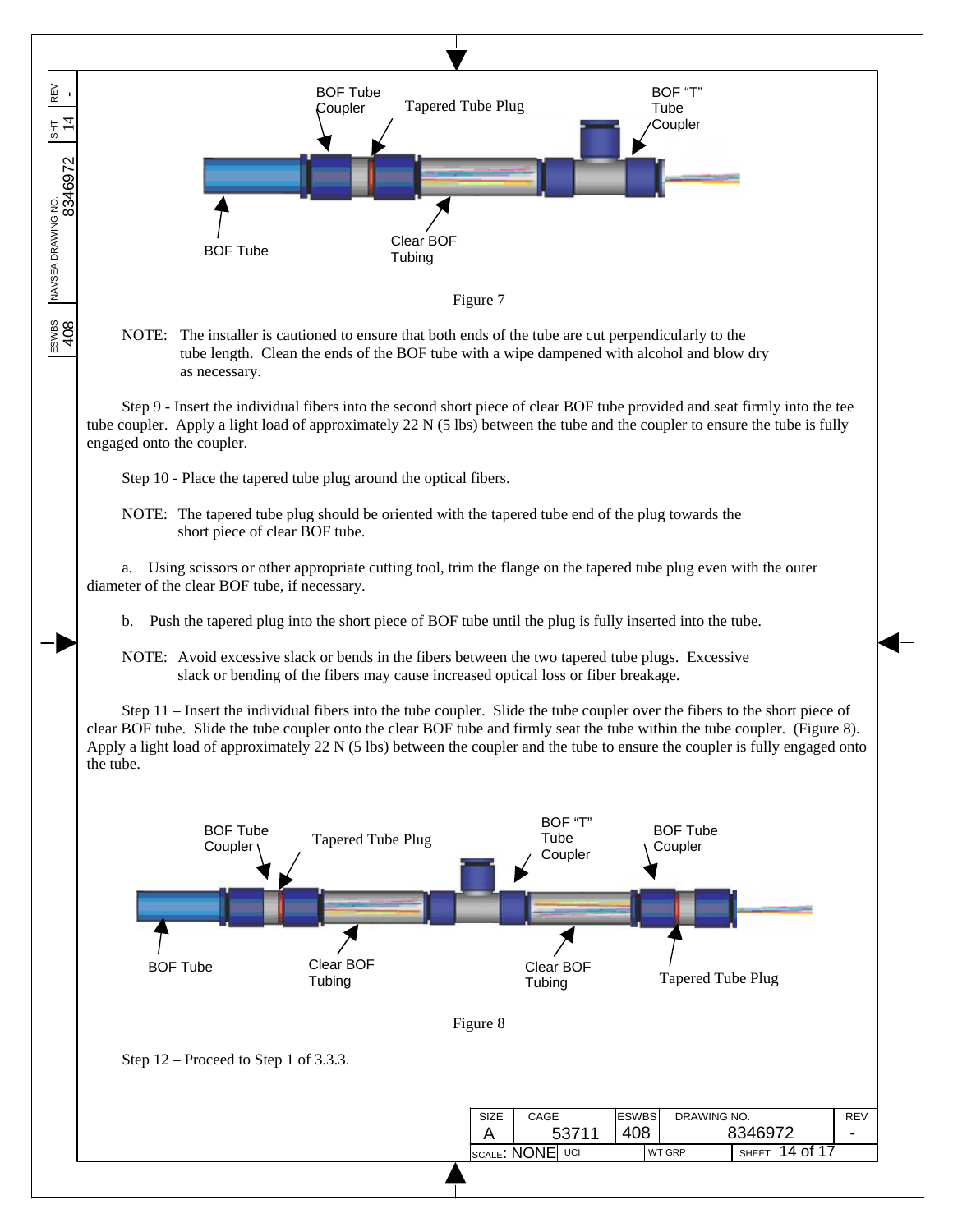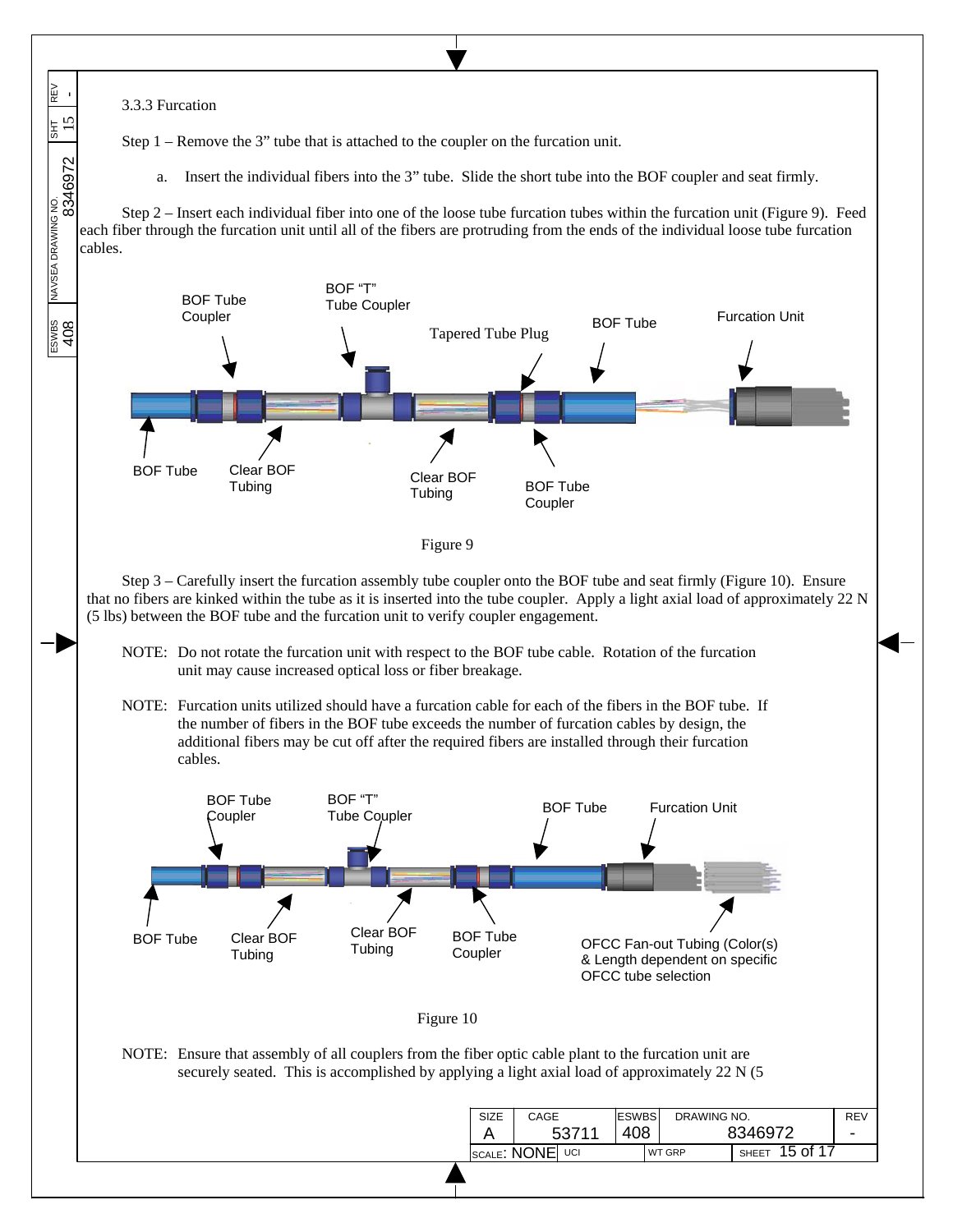

 $\overline{\phantom{a}}$  $\overline{\phantom{a}}$  $\overline{\phantom{a}}$ 

REV<br>

 $15$ 

 $\overline{\phantom{a}}$  $\overline{\phantom{a}}$ 

 $\overline{\phantom{a}}$ 

 $\frac{\text{Fswes}}{\text{A}08}$  NAVSEA DRAWING NO.  $\frac{\text{SUT}}{\text{BEV}}$  REV

ESWBS<br>408

Step 1 – Remove the 3" tube that is attached to the coupler on the furcation unit.

a. Insert the individual fibers into the 3" tube. Slide the short tube into the BOF coupler and seat firmly.

Step 2 – Insert each individual fiber into one of the loose tube furcation tubes within the furcation unit (Figure 9). Feed each fiber through the furcation unit until all of the fibers are protruding from the ends of the individual loose tube furcation cables.





Step 3 – Carefully insert the furcation assembly tube coupler onto the BOF tube and seat firmly (Figure 10). Ensure that no fibers are kinked within the tube as it is inserted into the tube coupler. Apply a light axial load of approximately 22 N (5 lbs) between the BOF tube and the furcation unit to verify coupler engagement.

- NOTE: Do not rotate the furcation unit with respect to the BOF tube cable. Rotation of the furcation unit may cause increased optical loss or fiber breakage.
- NOTE: Furcation units utilized should have a furcation cable for each of the fibers in the BOF tube. If the number of fibers in the BOF tube exceeds the number of furcation cables by design, the additional fibers may be cut off after the required fibers are installed through their furcation cables.



NOTE: Ensure that assembly of all couplers from the fiber optic cable plant to the furcation unit are securely seated. This is accomplished by applying a light axial load of approximately 22 N (5)

| <b>SIZE</b> | CAGE        |       | <b>ESWBS</b> | DRAWING NO.                        |         | <b>REV</b> |
|-------------|-------------|-------|--------------|------------------------------------|---------|------------|
|             |             | 53711 | 408          |                                    | 8346972 | ۰          |
|             | SCALE: NONE | UCI   |              | 15 of 17<br><b>WT GRP</b><br>SHEET |         |            |
|             |             |       |              |                                    |         |            |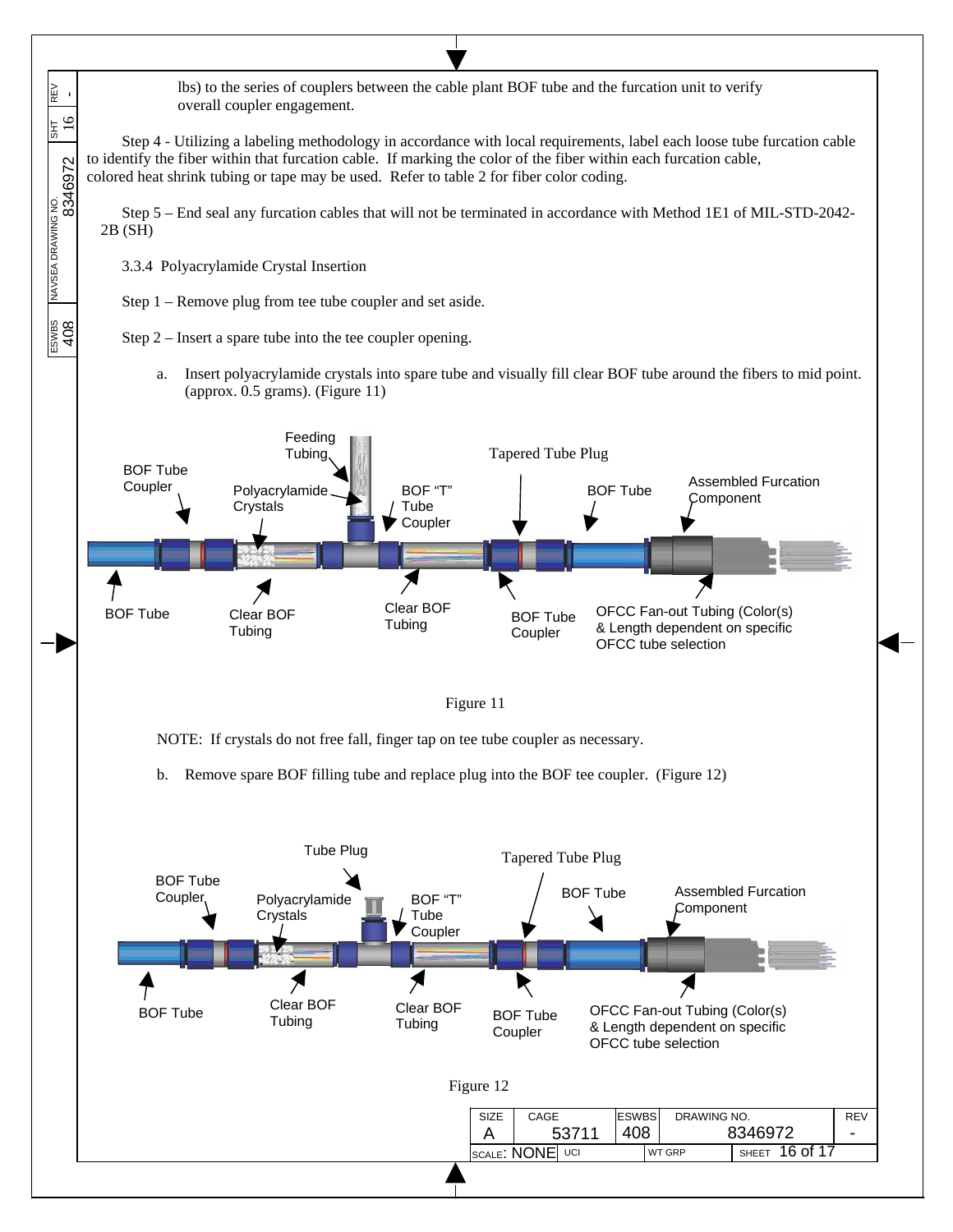